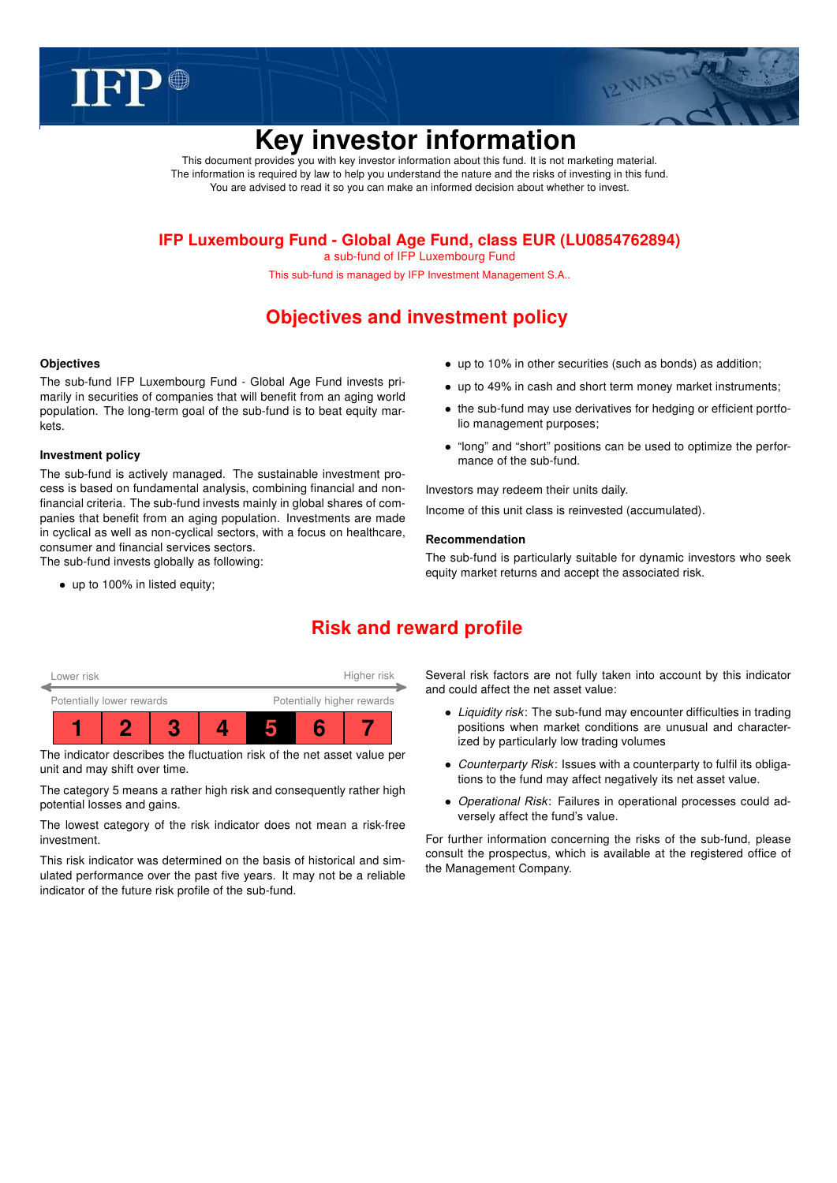



# Key investor information

This document provides you with key investor information about this fund. It is not marketing material. The information is required by law to help you understand the nature and the risks of investing in this fund. You are advised to read it so you can make an informed decision about whether to invest.

### IFP Luxembourg Fund - Global Age Fund, class EUR (LU0854762894)

a sub-fund of IFP Luxembourg Fund

This sub-fund is managed by IFP Investment Management S.A..

# Objectives and investment policy

### **Objectives**

The sub-fund IFP Luxembourg Fund - Global Age Fund invests primarily in securities of companies that will benefit from an aging world population. The long-term goal of the sub-fund is to beat equity markets.

### Investment policy

The sub-fund is actively managed. The sustainable investment process is based on fundamental analysis, combining financial and nonfinancial criteria. The sub-fund invests mainly in global shares of companies that benefit from an aging population. Investments are made in cyclical as well as non-cyclical sectors, with a focus on healthcare, consumer and financial services sectors. The sub-fund invests globally as following:

• up to 100% in listed equity;

- up to 10% in other securities (such as bonds) as addition;
- up to 49% in cash and short term money market instruments;
- the sub-fund may use derivatives for hedging or efficient portfolio management purposes;
- "long" and "short" positions can be used to optimize the performance of the sub-fund.

Investors may redeem their units daily.

Income of this unit class is reinvested (accumulated).

### Recommendation

The sub-fund is particularly suitable for dynamic investors who seek equity market returns and accept the associated risk.

# Risk and reward profile



The indicator describes the fluctuation risk of the net asset value per unit and may shift over time.

The category 5 means a rather high risk and consequently rather high potential losses and gains.

The lowest category of the risk indicator does not mean a risk-free investment.

This risk indicator was determined on the basis of historical and simulated performance over the past five years. It may not be a reliable indicator of the future risk profile of the sub-fund.

Several risk factors are not fully taken into account by this indicator and could affect the net asset value:

- Liquidity risk: The sub-fund may encounter difficulties in trading positions when market conditions are unusual and characterized by particularly low trading volumes
- Counterparty Risk: Issues with a counterparty to fulfil its obligations to the fund may affect negatively its net asset value.
- Operational Risk: Failures in operational processes could adversely affect the fund's value.

For further information concerning the risks of the sub-fund, please consult the prospectus, which is available at the registered office of the Management Company.